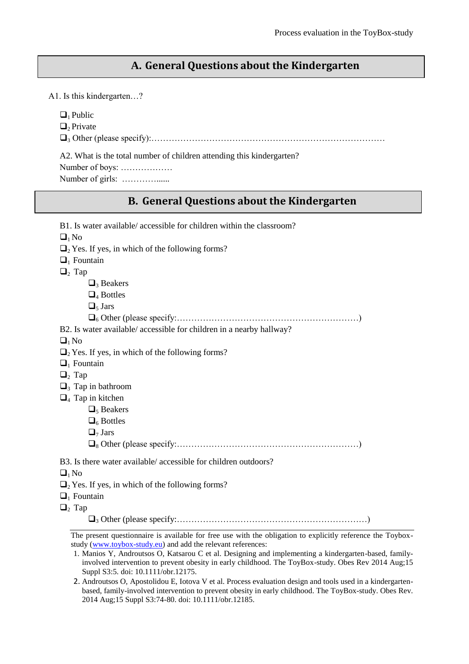### **A. General Questions about the Kindergarten**

A1. Is this kindergarten…?

 $\Box$ <sub>1</sub> Public

 $\Box$ <sub>2</sub> Private

<sup>3</sup> Other (please specify):………………………………………………………………………

A2. What is the total number of children attending this kindergarten?

Number of boys: ………………

Number of girls: …………......

### **B. General Questions about the Kindergarten**

| B1. Is water available/ accessible for children within the classroom?                                                      |
|----------------------------------------------------------------------------------------------------------------------------|
| $\Box_1$ No                                                                                                                |
| $\Box$ <sub>2</sub> Yes. If yes, in which of the following forms?                                                          |
| $\Box$ <sub>1</sub> Fountain                                                                                               |
| $\Box_2$ Tap                                                                                                               |
| $\Box_3$ Beakers                                                                                                           |
| $\Box_4$ Bottles                                                                                                           |
| $\Box_5$ Jars                                                                                                              |
|                                                                                                                            |
| B2. Is water available/ accessible for children in a nearby hallway?                                                       |
| $\Box_1$ No                                                                                                                |
| $\Box$ <sub>2</sub> Yes. If yes, in which of the following forms?                                                          |
| $\Box$ Fountain                                                                                                            |
| $\Box_2$ Tap                                                                                                               |
| $\Box$ <sub>3</sub> Tap in bathroom                                                                                        |
| $\Box$ <sub>4</sub> Tap in kitchen                                                                                         |
| $\Box$ <sub>5</sub> Beakers                                                                                                |
| $\Box_6$ Bottles                                                                                                           |
| $\Box$ <sub>7</sub> Jars                                                                                                   |
|                                                                                                                            |
| B3. Is there water available/accessible for children outdoors?                                                             |
| $\Box_1$ No                                                                                                                |
| $\Box$ <sub>2</sub> Yes. If yes, in which of the following forms?                                                          |
| $\Box$ Fountain                                                                                                            |
| $\Box_2$ Tap                                                                                                               |
|                                                                                                                            |
| <u>.</u><br>2001 - Paul Marie College de Marie de la Paul College de la Paul College de la Paul College de la Paul College |

The present questionnaire is available for free use with the obligation to explicitly reference the Toyboxstudy (www.toybox-study.eu) and add the relevant references:

<sup>1.</sup> Manios Y, Androutsos O, Katsarou C et al. Designing and implementing a kindergarten-based, familyinvolved intervention to prevent obesity in early childhood. The ToyBox-study. Obes Rev 2014 Aug;15 Suppl S3:5. doi: 10.1111/obr.12175.

<sup>2.</sup> Androutsos O, Apostolidou E, Iotova V et al. Process evaluation design and tools used in a kindergartenbased, family-involved intervention to prevent obesity in early childhood. The ToyBox-study. Obes Rev. 2014 Aug;15 Suppl S3:74-80. doi: 10.1111/obr.12185.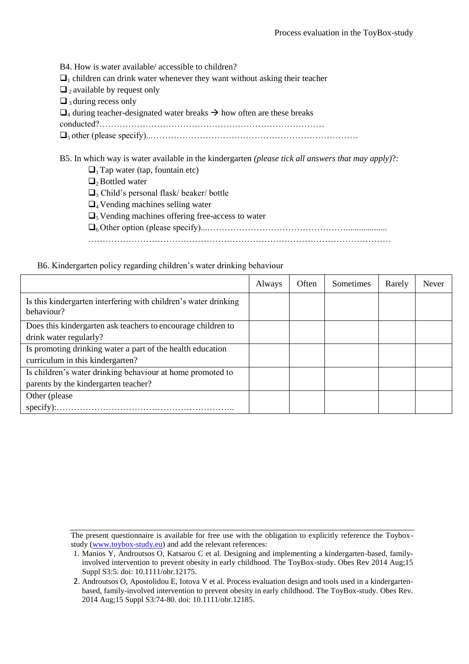B4. How is water available/ accessible to children?  $\Box$ <sub>1</sub> children can drink water whenever they want without asking their teacher  $\Box$ <sub>2</sub> available by request only  $\Box$ <sub>3</sub> during recess only  $\Box$ 4 during teacher-designated water breaks  $\rightarrow$  how often are these breaks conducted?…………………………………………………………………… 5 other (please specify)..………………………………………………………………

B5. In which way is water available in the kindergarten *(please tick all answers that may apply)*?*:*

- $\Box$ <sub>1</sub> Tap water (tap, fountain etc)
- $\Box_2$  Bottled water
- $\Box$ <sub>3</sub> Child's personal flask/ beaker/ bottle
- $\Box_4$  Vending machines selling water
- $\Box$ <sub>5</sub> Vending machines offering free-access to water
- 6 Other option (please specify)...…………………………………………...................
- ……………………………………………………………………………………………

#### B6. Kindergarten policy regarding children's water drinking behaviour

|                                                                               | Always | Often | Sometimes | Rarely | Never |
|-------------------------------------------------------------------------------|--------|-------|-----------|--------|-------|
| Is this kindergarten interfering with children's water drinking<br>behaviour? |        |       |           |        |       |
| Does this kindergarten ask teachers to encourage children to                  |        |       |           |        |       |
| drink water regularly?                                                        |        |       |           |        |       |
| Is promoting drinking water a part of the health education                    |        |       |           |        |       |
| curriculum in this kindergarten?                                              |        |       |           |        |       |
| Is children's water drinking behaviour at home promoted to                    |        |       |           |        |       |
| parents by the kindergarten teacher?                                          |        |       |           |        |       |
| Other (please)                                                                |        |       |           |        |       |
| $specify)$ :                                                                  |        |       |           |        |       |

<sup>1.</sup> Manios Y, Androutsos O, Katsarou C et al. Designing and implementing a kindergarten-based, familyinvolved intervention to prevent obesity in early childhood. The ToyBox-study. Obes Rev 2014 Aug;15 Suppl S3:5. doi: 10.1111/obr.12175.

<sup>2.</sup> Androutsos O, Apostolidou E, Iotova V et al. Process evaluation design and tools used in a kindergartenbased, family-involved intervention to prevent obesity in early childhood. The ToyBox-study. Obes Rev. 2014 Aug;15 Suppl S3:74-80. doi: 10.1111/obr.12185.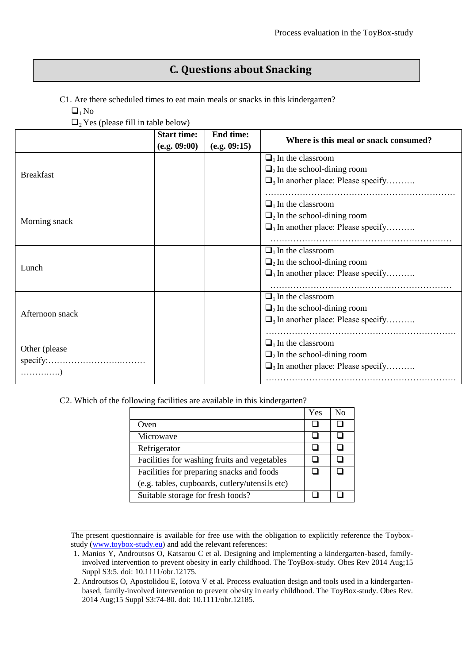# **C. Questions about Snacking**

C1. Are there scheduled times to eat main meals or snacks in this kindergarten?

 $\Box_1$  No

 $\Box$ <sub>2</sub> Yes (please fill in table below)

|                  | <b>Start time:</b> | <b>End time:</b> | Where is this meal or snack consumed?                |
|------------------|--------------------|------------------|------------------------------------------------------|
|                  | (e.g. 09:00)       | (e.g. 09:15)     |                                                      |
|                  |                    |                  | $\Box$ <sub>1</sub> In the classroom                 |
| <b>Breakfast</b> |                    |                  | $\Box$ <sub>2</sub> In the school-dining room        |
|                  |                    |                  | $\Box$ <sub>3</sub> In another place: Please specify |
|                  |                    |                  |                                                      |
|                  |                    |                  | $\Box$ In the classroom                              |
|                  |                    |                  | $\Box$ <sub>2</sub> In the school-dining room        |
| Morning snack    |                    |                  | $\Box$ <sub>3</sub> In another place: Please specify |
|                  |                    |                  |                                                      |
|                  |                    |                  | $\Box$ <sub>1</sub> In the classroom                 |
| Lunch            |                    |                  | $\Box$ <sub>2</sub> In the school-dining room        |
|                  |                    |                  | $\Box$ <sub>3</sub> In another place: Please specify |
|                  |                    |                  |                                                      |
|                  |                    |                  | $\Box$ <sub>1</sub> In the classroom                 |
| Afternoon snack  |                    |                  | $\Box$ <sub>2</sub> In the school-dining room        |
|                  |                    |                  | $\Box$ <sub>3</sub> In another place: Please specify |
|                  |                    |                  |                                                      |
|                  |                    |                  | $\Box$ <sub>1</sub> In the classroom                 |
| Other (please)   |                    |                  | $\Box$ <sub>2</sub> In the school-dining room        |
|                  |                    |                  | $\Box$ <sub>3</sub> In another place: Please specify |
| . )              |                    |                  |                                                      |

C2. Which of the following facilities are available in this kindergarten?

|                                                | Yes | $N_{\Omega}$ |
|------------------------------------------------|-----|--------------|
| Oven                                           |     |              |
| Microwave                                      |     |              |
| Refrigerator                                   |     |              |
| Facilities for washing fruits and vegetables   |     |              |
| Facilities for preparing snacks and foods      |     |              |
| (e.g. tables, cupboards, cutlery/utensils etc) |     |              |
| Suitable storage for fresh foods?              |     |              |

<sup>1.</sup> Manios Y, Androutsos O, Katsarou C et al. Designing and implementing a kindergarten-based, familyinvolved intervention to prevent obesity in early childhood. The ToyBox-study. Obes Rev 2014 Aug;15 Suppl S3:5. doi: 10.1111/obr.12175.

<sup>2.</sup> Androutsos O, Apostolidou E, Iotova V et al. Process evaluation design and tools used in a kindergartenbased, family-involved intervention to prevent obesity in early childhood. The ToyBox-study. Obes Rev. 2014 Aug;15 Suppl S3:74-80. doi: 10.1111/obr.12185.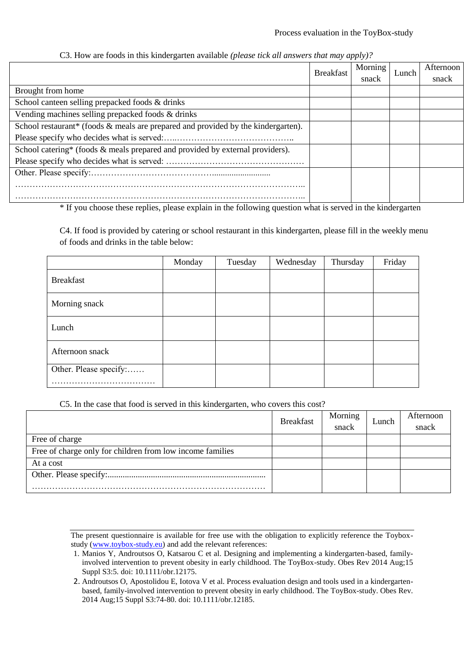#### Process evaluation in the ToyBox-study

|                                                                                   |                  | , , , , ,            |       |           |
|-----------------------------------------------------------------------------------|------------------|----------------------|-------|-----------|
|                                                                                   | <b>Breakfast</b> | Morning <sup>1</sup> | Lunch | Afternoon |
|                                                                                   |                  | snack                |       | snack     |
| Brought from home                                                                 |                  |                      |       |           |
| School canteen selling prepacked foods & drinks                                   |                  |                      |       |           |
| Vending machines selling prepacked foods & drinks                                 |                  |                      |       |           |
| School restaurant* (foods & meals are prepared and provided by the kindergarten). |                  |                      |       |           |
|                                                                                   |                  |                      |       |           |
| School catering* (foods & meals prepared and provided by external providers).     |                  |                      |       |           |
|                                                                                   |                  |                      |       |           |
|                                                                                   |                  |                      |       |           |
|                                                                                   |                  |                      |       |           |
|                                                                                   |                  |                      |       |           |

C3. How are foods in this kindergarten available *(please tick all answers that may apply)?*

\* If you choose these replies, please explain in the following question what is served in the kindergarten

C4. If food is provided by catering or school restaurant in this kindergarten, please fill in the weekly menu of foods and drinks in the table below:

|                             | Monday | Tuesday | Wednesday | Thursday | Friday |
|-----------------------------|--------|---------|-----------|----------|--------|
| <b>Breakfast</b>            |        |         |           |          |        |
| Morning snack               |        |         |           |          |        |
| Lunch                       |        |         |           |          |        |
| Afternoon snack             |        |         |           |          |        |
| Other. Please specify:<br>. |        |         |           |          |        |

C5. In the case that food is served in this kindergarten, who covers this cost?

|                                                           | <b>Breakfast</b> | Morning<br>snack | Lunch | Afternoon<br>snack |
|-----------------------------------------------------------|------------------|------------------|-------|--------------------|
| Free of charge                                            |                  |                  |       |                    |
| Free of charge only for children from low income families |                  |                  |       |                    |
| At a cost                                                 |                  |                  |       |                    |
|                                                           |                  |                  |       |                    |
|                                                           |                  |                  |       |                    |

<sup>1.</sup> Manios Y, Androutsos O, Katsarou C et al. Designing and implementing a kindergarten-based, familyinvolved intervention to prevent obesity in early childhood. The ToyBox-study. Obes Rev 2014 Aug;15 Suppl S3:5. doi: 10.1111/obr.12175.

<sup>2.</sup> Androutsos O, Apostolidou E, Iotova V et al. Process evaluation design and tools used in a kindergartenbased, family-involved intervention to prevent obesity in early childhood. The ToyBox-study. Obes Rev. 2014 Aug;15 Suppl S3:74-80. doi: 10.1111/obr.12185.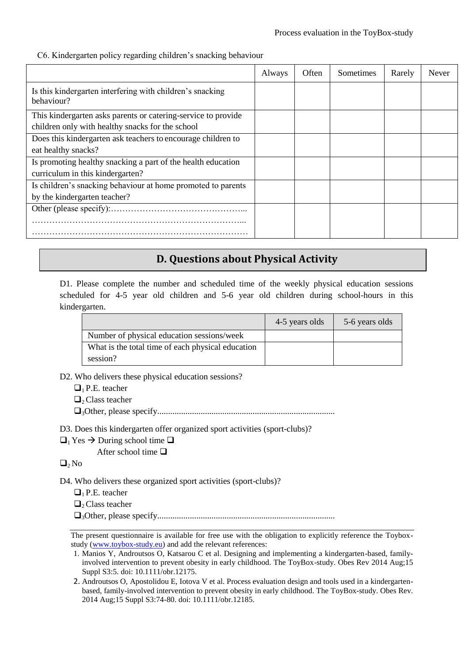C6. Kindergarten policy regarding children's snacking behaviour

|                                                                         | Always | Often | Sometimes | Rarely | Never |
|-------------------------------------------------------------------------|--------|-------|-----------|--------|-------|
| Is this kindergarten interfering with children's snacking<br>behaviour? |        |       |           |        |       |
| This kindergarten asks parents or catering-service to provide           |        |       |           |        |       |
| children only with healthy snacks for the school                        |        |       |           |        |       |
| Does this kindergarten ask teachers to encourage children to            |        |       |           |        |       |
| eat healthy snacks?                                                     |        |       |           |        |       |
| Is promoting healthy snacking a part of the health education            |        |       |           |        |       |
| curriculum in this kindergarten?                                        |        |       |           |        |       |
| Is children's snacking behaviour at home promoted to parents            |        |       |           |        |       |
| by the kindergarten teacher?                                            |        |       |           |        |       |
|                                                                         |        |       |           |        |       |
|                                                                         |        |       |           |        |       |
|                                                                         |        |       |           |        |       |

# **D. Questions about Physical Activity**

D1. Please complete the number and scheduled time of the weekly physical education sessions scheduled for 4-5 year old children and 5-6 year old children during school-hours in this kindergarten.

|                                                   | 4-5 years olds | 5-6 years olds |
|---------------------------------------------------|----------------|----------------|
| Number of physical education sessions/week        |                |                |
| What is the total time of each physical education |                |                |
| session?                                          |                |                |

- D2. Who delivers these physical education sessions?
	- $\Box$ <sub>1</sub> P.E. teacher

 $\Box$ <sub>2</sub> Class teacher

- 3Other, please specify..................................................................................
- D3. Does this kindergarten offer organized sport activities (sport-clubs)?

 $\Box_1$  Yes  $\rightarrow$  During school time  $\Box$ 

After school time  $\Box$ 

 $\Box_2$  No

D4. Who delivers these organized sport activities (sport-clubs)?

- $\Box$ <sub>1</sub> P.E. teacher
- $\Box_2$  Class teacher

3Other, please specify..................................................................................

The present questionnaire is available for free use with the obligation to explicitly reference the Toyboxstudy (www.toybox-study.eu) and add the relevant references:

<sup>1.</sup> Manios Y, Androutsos O, Katsarou C et al. Designing and implementing a kindergarten-based, familyinvolved intervention to prevent obesity in early childhood. The ToyBox-study. Obes Rev 2014 Aug;15 Suppl S3:5. doi: 10.1111/obr.12175.

<sup>2.</sup> Androutsos O, Apostolidou E, Iotova V et al. Process evaluation design and tools used in a kindergartenbased, family-involved intervention to prevent obesity in early childhood. The ToyBox-study. Obes Rev. 2014 Aug;15 Suppl S3:74-80. doi: 10.1111/obr.12185.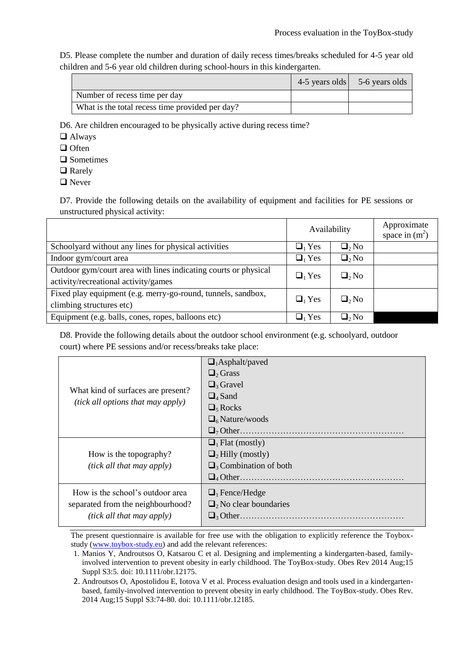D5. Please complete the number and duration of daily recess times/breaks scheduled for 4-5 year old children and 5-6 year old children during school-hours in this kindergarten.

|                                                 | 4-5 years olds 5-6 years olds |
|-------------------------------------------------|-------------------------------|
| Number of recess time per day                   |                               |
| What is the total recess time provided per day? |                               |

D6. Are children encouraged to be physically active during recess time?

Always

 $\Box$  Often

□ Sometimes

□ Rarely

**□** Never

D7. Provide the following details on the availability of equipment and facilities for PE sessions or unstructured physical activity:

|                                                                                                         | Availability |             | Approximate<br>space in $(m^2)$ |
|---------------------------------------------------------------------------------------------------------|--------------|-------------|---------------------------------|
| Schoolyard without any lines for physical activities                                                    | $\Box_1$ Yes | $\Box_2$ No |                                 |
| Indoor gym/court area                                                                                   | $\Box_1$ Yes | $\Box_2$ No |                                 |
| Outdoor gym/court area with lines indicating courts or physical<br>activity/recreational activity/games | $\Box_1$ Yes | $\Box_2$ No |                                 |
| Fixed play equipment (e.g. merry-go-round, tunnels, sandbox,<br>climbing structures etc)                | $\Box_1$ Yes | $\Box_2$ No |                                 |
| Equipment (e.g. balls, cones, ropes, balloons etc)                                                      | $\Box_1$ Yes | $\Box_2$ No |                                 |

D8. Provide the following details about the outdoor school environment (e.g. schoolyard, outdoor court) where PE sessions and/or recess/breaks take place:

|                                    | $\Box_1$ Asphalt/paved                  |
|------------------------------------|-----------------------------------------|
|                                    | $\Box$ Grass                            |
|                                    | $\Box$ <sub>3</sub> Gravel              |
| What kind of surfaces are present? | $\Box$ <sub>4</sub> Sand                |
| (tick all options that may apply)  | $\Box$ <sub>5</sub> Rocks               |
|                                    | $\Box$ 6 Nature/woods                   |
|                                    | $\Box$ Other                            |
|                                    | $\Box$ <sub>1</sub> Flat (mostly)       |
| How is the topography?             | $\Box_2$ Hilly (mostly)                 |
| (tick all that may apply)          | $\Box$ <sub>3</sub> Combination of both |
|                                    | $\Box_4$ Other                          |
| How is the school's outdoor area   | $\Box$ Fence/Hedge                      |
| separated from the neighbourhood?  | $\Box$ <sub>2</sub> No clear boundaries |
| (tick all that may apply)          |                                         |
|                                    |                                         |

<sup>1.</sup> Manios Y, Androutsos O, Katsarou C et al. Designing and implementing a kindergarten-based, familyinvolved intervention to prevent obesity in early childhood. The ToyBox-study. Obes Rev 2014 Aug;15 Suppl S3:5. doi: 10.1111/obr.12175.

<sup>2.</sup> Androutsos O, Apostolidou E, Iotova V et al. Process evaluation design and tools used in a kindergartenbased, family-involved intervention to prevent obesity in early childhood. The ToyBox-study. Obes Rev. 2014 Aug;15 Suppl S3:74-80. doi: 10.1111/obr.12185.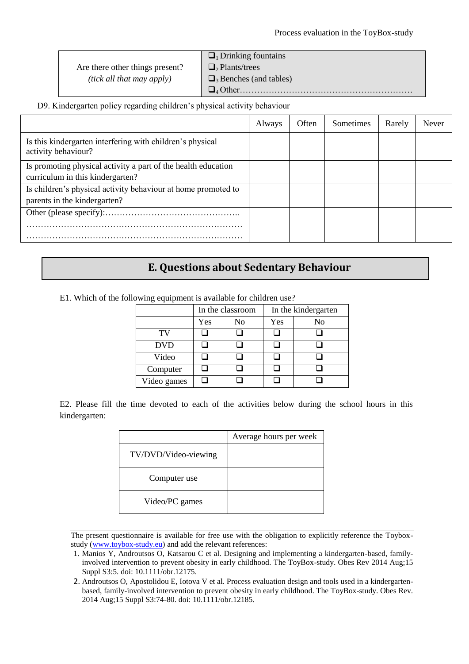Are there other things present? *(tick all that may apply)*

 $\Box$ <sub>1</sub> Drinking fountains  $\Box$ <sub>2</sub> Plants/trees  $\Box_3$  Benches (and tables)

4 Other……………………………………………………

#### D9. Kindergarten policy regarding children's physical activity behaviour

|                                                                                  | Always | Often | Sometimes | Rarely | Never |
|----------------------------------------------------------------------------------|--------|-------|-----------|--------|-------|
| Is this kindergarten interfering with children's physical<br>activity behaviour? |        |       |           |        |       |
| Is promoting physical activity a part of the health education                    |        |       |           |        |       |
| curriculum in this kindergarten?                                                 |        |       |           |        |       |
| Is children's physical activity behaviour at home promoted to                    |        |       |           |        |       |
| parents in the kindergarten?                                                     |        |       |           |        |       |
|                                                                                  |        |       |           |        |       |
|                                                                                  |        |       |           |        |       |
|                                                                                  |        |       |           |        |       |

### **E. Questions about Sedentary Behaviour**

| .           |                  |    |                     |    |  |
|-------------|------------------|----|---------------------|----|--|
|             | In the classroom |    | In the kindergarten |    |  |
|             | Yes              | No | Yes                 | No |  |
| TV          |                  |    |                     |    |  |
| <b>DVD</b>  |                  |    |                     |    |  |
| Video       |                  |    |                     |    |  |
| Computer    |                  |    |                     |    |  |
| Video games |                  |    |                     |    |  |

E1. Which of the following equipment is available for children use?

E2. Please fill the time devoted to each of the activities below during the school hours in this kindergarten:

|                      | Average hours per week |
|----------------------|------------------------|
| TV/DVD/Video-viewing |                        |
| Computer use         |                        |
| Video/PC games       |                        |

The present questionnaire is available for free use with the obligation to explicitly reference the Toyboxstudy (www.toybox-study.eu) and add the relevant references:

<sup>1.</sup> Manios Y, Androutsos O, Katsarou C et al. Designing and implementing a kindergarten-based, familyinvolved intervention to prevent obesity in early childhood. The ToyBox-study. Obes Rev 2014 Aug;15 Suppl S3:5. doi: 10.1111/obr.12175.

<sup>2.</sup> Androutsos O, Apostolidou E, Iotova V et al. Process evaluation design and tools used in a kindergartenbased, family-involved intervention to prevent obesity in early childhood. The ToyBox-study. Obes Rev. 2014 Aug;15 Suppl S3:74-80. doi: 10.1111/obr.12185.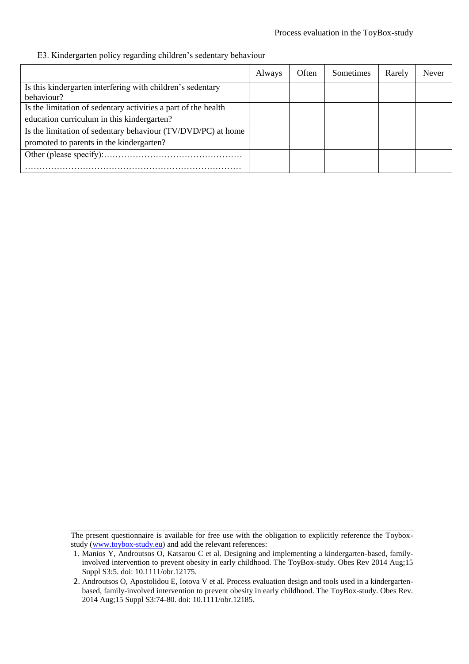#### Process evaluation in the ToyBox-study

#### E3. Kindergarten policy regarding children's sedentary behaviour

|                                                                | Always | Often | <b>Sometimes</b> | Rarely | Never |
|----------------------------------------------------------------|--------|-------|------------------|--------|-------|
| Is this kindergarten interfering with children's sedentary     |        |       |                  |        |       |
| behaviour?                                                     |        |       |                  |        |       |
| Is the limitation of sedentary activities a part of the health |        |       |                  |        |       |
| education curriculum in this kindergarten?                     |        |       |                  |        |       |
| Is the limitation of sedentary behaviour (TV/DVD/PC) at home   |        |       |                  |        |       |
| promoted to parents in the kindergarten?                       |        |       |                  |        |       |
|                                                                |        |       |                  |        |       |
|                                                                |        |       |                  |        |       |

The present questionnaire is available for free use with the obligation to explicitly reference the Toyboxstudy (www.toybox-study.eu) and add the relevant references:

<sup>1.</sup> Manios Y, Androutsos O, Katsarou C et al. Designing and implementing a kindergarten-based, familyinvolved intervention to prevent obesity in early childhood. The ToyBox-study. Obes Rev 2014 Aug;15 Suppl S3:5. doi: 10.1111/obr.12175.

<sup>2.</sup> Androutsos O, Apostolidou E, Iotova V et al. Process evaluation design and tools used in a kindergartenbased, family-involved intervention to prevent obesity in early childhood. The ToyBox-study. Obes Rev. 2014 Aug;15 Suppl S3:74-80. doi: 10.1111/obr.12185.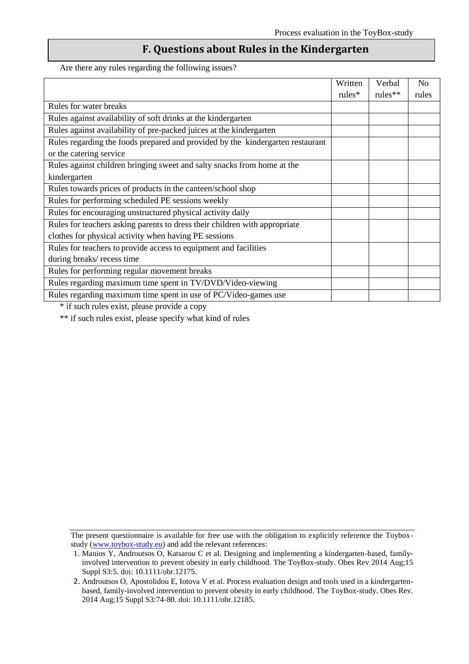### **F. Questions about Rules in the Kindergarten**

Are there any rules regarding the following issues?

|                                                                                | Written   | Verbal     | N <sub>0</sub> |
|--------------------------------------------------------------------------------|-----------|------------|----------------|
|                                                                                | $rules^*$ | rules $**$ | rules          |
| Rules for water breaks                                                         |           |            |                |
| Rules against availability of soft drinks at the kindergarten                  |           |            |                |
| Rules against availability of pre-packed juices at the kindergarten            |           |            |                |
| Rules regarding the foods prepared and provided by the kindergarten restaurant |           |            |                |
| or the catering service                                                        |           |            |                |
| Rules against children bringing sweet and salty snacks from home at the        |           |            |                |
| kindergarten                                                                   |           |            |                |
| Rules towards prices of products in the canteen/school shop                    |           |            |                |
| Rules for performing scheduled PE sessions weekly                              |           |            |                |
| Rules for encouraging unstructured physical activity daily                     |           |            |                |
| Rules for teachers asking parents to dress their children with appropriate     |           |            |                |
| clothes for physical activity when having PE sessions                          |           |            |                |
| Rules for teachers to provide access to equipment and facilities               |           |            |                |
| during breaks/ recess time                                                     |           |            |                |
| Rules for performing regular movement breaks                                   |           |            |                |
| Rules regarding maximum time spent in TV/DVD/Video-viewing                     |           |            |                |
| Rules regarding maximum time spent in use of PC/Video-games use                |           |            |                |

\* if such rules exist, please provide a copy

\*\* if such rules exist, please specify what kind of rules

<sup>1.</sup> Manios Y, Androutsos O, Katsarou C et al. Designing and implementing a kindergarten-based, familyinvolved intervention to prevent obesity in early childhood. The ToyBox-study. Obes Rev 2014 Aug;15 Suppl S3:5. doi: 10.1111/obr.12175.

<sup>2.</sup> Androutsos O, Apostolidou E, Iotova V et al. Process evaluation design and tools used in a kindergartenbased, family-involved intervention to prevent obesity in early childhood. The ToyBox-study. Obes Rev. 2014 Aug;15 Suppl S3:74-80. doi: 10.1111/obr.12185.